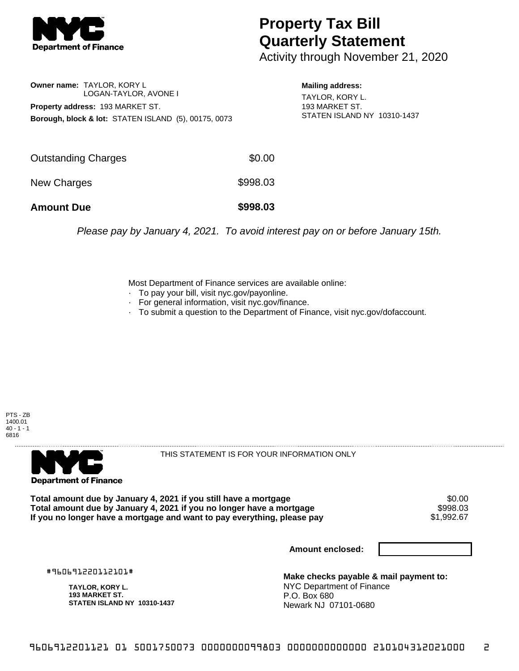

## **Property Tax Bill Quarterly Statement**

Activity through November 21, 2020

**Owner name:** TAYLOR, KORY L LOGAN-TAYLOR, AVONE I **Property address:** 193 MARKET ST. **Borough, block & lot:** STATEN ISLAND (5), 00175, 0073 **Mailing address:**

TAYLOR, KORY L. 193 MARKET ST. STATEN ISLAND NY 10310-1437

| <b>Amount Due</b>   | \$998.03 |
|---------------------|----------|
| <b>New Charges</b>  | \$998.03 |
| Outstanding Charges | \$0.00   |

Please pay by January 4, 2021. To avoid interest pay on or before January 15th.

Most Department of Finance services are available online:

- · To pay your bill, visit nyc.gov/payonline.
- For general information, visit nyc.gov/finance.
- · To submit a question to the Department of Finance, visit nyc.gov/dofaccount.





THIS STATEMENT IS FOR YOUR INFORMATION ONLY

Total amount due by January 4, 2021 if you still have a mortgage \$0.00<br>Total amount due by January 4, 2021 if you no longer have a mortgage \$998.03 **Total amount due by January 4, 2021 if you no longer have a mortgage \$998.03<br>If you no longer have a mortgage and want to pay everything, please pay \$1,992.67** If you no longer have a mortgage and want to pay everything, please pay

**Amount enclosed:**

#960691220112101#

**TAYLOR, KORY L. 193 MARKET ST. STATEN ISLAND NY 10310-1437**

**Make checks payable & mail payment to:** NYC Department of Finance P.O. Box 680 Newark NJ 07101-0680